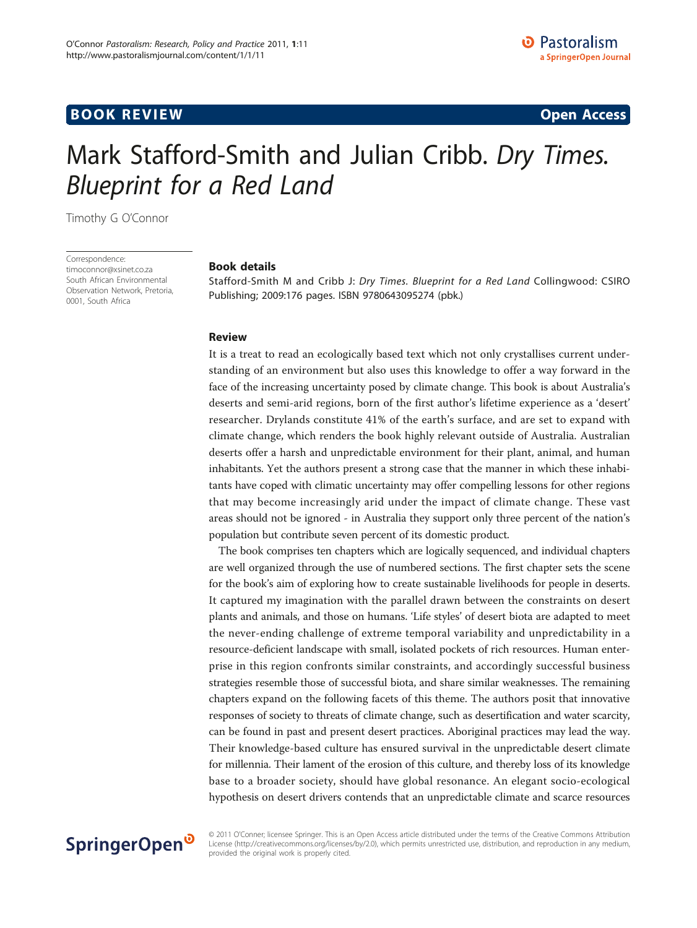## **BOOK REVIEW CONTROL** CONTROL CONTROL CONTROL CONTROL CONTROL CONTROL CONTROL CONTROL CONTROL CONTROL CONTROL CONTROL CONTROL CONTROL CONTROL CONTROL CONTROL CONTROL CONTROL CONTROL CONTROL CONTROL CONTROL CONTROL CONTROL

# Mark Stafford-Smith and Julian Cribb. Dry Times. Blueprint for a Red Land

Timothy G O'Connor

Correspondence:

[timoconnor@xsinet.co.za](mailto:timoconnor@xsinet.co.za) South African Environmental Observation Network, Pretoria, 0001, South Africa

### Book details

Stafford-Smith M and Cribb J: Dry Times. Blueprint for a Red Land Collingwood: CSIRO Publishing; 2009:176 pages. ISBN 9780643095274 (pbk.)

### Review

It is a treat to read an ecologically based text which not only crystallises current understanding of an environment but also uses this knowledge to offer a way forward in the face of the increasing uncertainty posed by climate change. This book is about Australia's deserts and semi-arid regions, born of the first author's lifetime experience as a 'desert' researcher. Drylands constitute 41% of the earth's surface, and are set to expand with climate change, which renders the book highly relevant outside of Australia. Australian deserts offer a harsh and unpredictable environment for their plant, animal, and human inhabitants. Yet the authors present a strong case that the manner in which these inhabitants have coped with climatic uncertainty may offer compelling lessons for other regions that may become increasingly arid under the impact of climate change. These vast areas should not be ignored - in Australia they support only three percent of the nation's population but contribute seven percent of its domestic product.

The book comprises ten chapters which are logically sequenced, and individual chapters are well organized through the use of numbered sections. The first chapter sets the scene for the book's aim of exploring how to create sustainable livelihoods for people in deserts. It captured my imagination with the parallel drawn between the constraints on desert plants and animals, and those on humans. 'Life styles' of desert biota are adapted to meet the never-ending challenge of extreme temporal variability and unpredictability in a resource-deficient landscape with small, isolated pockets of rich resources. Human enterprise in this region confronts similar constraints, and accordingly successful business strategies resemble those of successful biota, and share similar weaknesses. The remaining chapters expand on the following facets of this theme. The authors posit that innovative responses of society to threats of climate change, such as desertification and water scarcity, can be found in past and present desert practices. Aboriginal practices may lead the way. Their knowledge-based culture has ensured survival in the unpredictable desert climate for millennia. Their lament of the erosion of this culture, and thereby loss of its knowledge base to a broader society, should have global resonance. An elegant socio-ecological hypothesis on desert drivers contends that an unpredictable climate and scarce resources

## SpringerOpen<sup>®</sup>

© 2011 O'Conner; licensee Springer. This is an Open Access article distributed under the terms of the Creative Commons Attribution License [\(http://creativecommons.org/licenses/by/2.0](http://creativecommons.org/licenses/by/2.0)), which permits unrestricted use, distribution, and reproduction in any medium, provided the original work is properly cited.